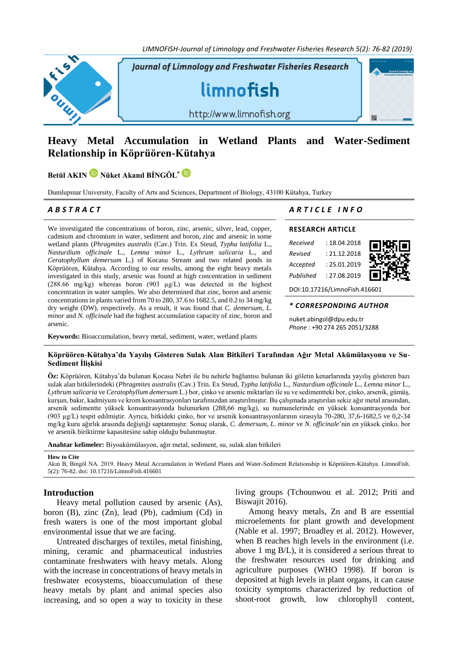*LIMNOFISH-Journal of Limnology and Freshwater Fisheries Research 5(2): 76-82 (2019)*



# **Heavy Metal Accumulation in Wetland Plants and Water-Sediment Relationship in Köprüören-Kütahya**

**Betül AKIN Nüket Akanıl BİNGÖL\***

Dumlupınar University, Faculty of Arts and Sciences, Department of Biology, 43100 Kütahya, Turkey

We investigated the concentrations of boron, zinc, arsenic, silver, lead, copper, cadmium and chromium in water, sediment and boron, zinc and arsenic in some wetland plants (*Phragmites australis* (Cav.) Trin. Ex Steud, *Typha latifolia* L., *Nasturdium officinale* L., *Lemna minor* L., *Lythrum salicaria* L., and *Ceratophyllum demersum* L.) of Kocasu Stream and two related ponds in Köprüören, Kütahya. According to our results, among the eight heavy metals investigated in this study, arsenic was found at high concentration in sediment (288.66 mg/kg) whereas boron (903 µg/L) was detected in the highest concentration in water samples. We also determined that zinc, boron and arsenic concentrations in plants varied from 70 to 280, 37.6 to 1682.5, and 0.2 to 34 mg/kg dry weight (DW), respectively. As a result, it was found that *C. demersum*, *L. minor* and *N. officinale* had the highest accumulation capacity of zinc, boron and arsenic.

**Keywords:** Bioaccumulation, heavy metal, sediment, water, wetland plants

## *A B S T R A C T A R T I C L E I N F O*

## **RESEARCH ARTICLE**

| Received  | : 18.04.2018 | П<br>ш |
|-----------|--------------|--------|
| Revised   | : 21.12.2018 |        |
| Accepted  | : 25.01.2019 |        |
| Published | : 27.08.2019 |        |

DOI[:10.17216/LimnoFish.416601](http://doi.org/10.17216/LimnoFish.416601)

## *\* CORRESPONDING AUTHOR*

[nuket.abingol@dpu.edu.tr](mailto:nuket.abingol@dpu.edu.tr) *Phone* : +90 274 265 2051/3288

## **Köprüören-Kütahya'da Yayılış Gösteren Sulak Alan Bitkileri Tarafından Ağır Metal Akümülasyonu ve Su-Sediment İlişkisi**

**Öz:** Köprüören, Kütahya'da bulunan Kocasu Nehri ile bu nehirle bağlantısı bulunan iki göletin kenarlarında yayılış gösteren bazı sulak alan bitkilerindeki (*Phragmites australis* (Cav.) Trin. Ex Steud, *Typha latifolia* L., *Nasturdium officinale* L., *Lemna minor* L., *Lythrum salicaria* ve *Ceratophyllum demersum* L.) bor, çinko ve arsenic miktarları ile su ve sedimentteki bor, çinko, arsenik, gümüş, kurşun, bakır, kadmiyum ve krom konsantrasyonları tarafımızdan araştırılmıştır. Bu çalışmada araştırılan sekiz ağır metal arasından, arsenik sedimentte yüksek konsantrasyonda bulunurken (288,66 mg/kg), su numunelerinde en yüksek konsantrasyonda bor (903 µg/L) tespit edilmiştir. Ayrıca, bitkideki çinko, bor ve arsenik konsantrasyonlarının sırasıyla 70-280, 37,6-1682,5 ve 0,2-34 mg/kg kuru ağırlık arasında değiştiği saptanmıştır. Sonuç olarak, *C. demersum*, *L. minor* ve *N. officinale*'nin en yüksek çinko, bor ve arsenik biriktirme kapasitesine sahip olduğu bulunmuştur.

**Anahtar kelimeler:** Biyoakümülasyon, ağır metal, sediment, su, sulak alan bitkileri

**How to Cite**

Akın B, Bingöl NA. 2019. Heavy Metal Accumulation in Wetland Plants and Water-Sediment Relationship in Köprüören-Kütahya. LimnoFish. 5(2): 76-82[. doi: 10.17216/LimnoFish.416601](http://doi.org/10.17216/LimnoFish.416601)

## **Introduction**

Heavy metal pollution caused by arsenic (As), boron (B), zinc (Zn), lead (Pb), cadmium (Cd) in fresh waters is one of the most important global environmental issue that we are facing.

Untreated discharges of textiles, metal finishing, mining, ceramic and pharmaceutical industries contaminate freshwaters with heavy metals. Along with the increase in concentrations of heavy metals in freshwater ecosystems, bioaccumulation of these heavy metals by plant and animal species also increasing, and so open a way to toxicity in these living groups (Tchounwou et al. 2012; Priti and Biswajit 2016).

Among heavy metals, Zn and B are essential microelements for plant growth and development (Nable et al. 1997; Broadley et al. 2012). However, when B reaches high levels in the environment (i.e. above 1 mg B/L), it is considered a serious threat to the freshwater resources used for drinking and agriculture purposes (WHO 1998). If boron is deposited at high levels in plant organs, it can cause toxicity symptoms characterized by reduction of shoot-root growth, low chlorophyll content,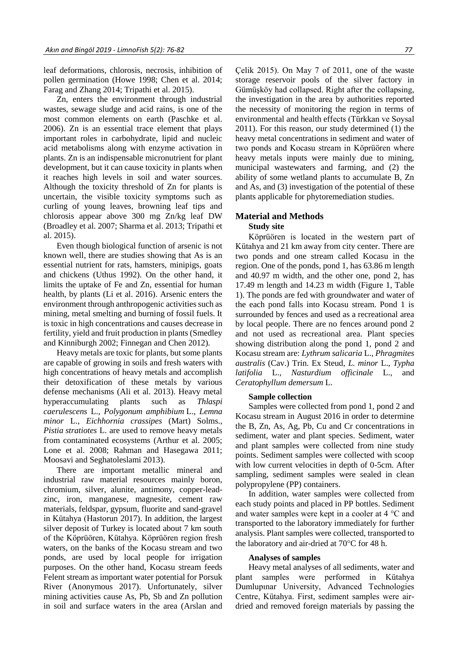leaf deformations, chlorosis, necrosis, inhibition of pollen germination (Howe 1998; Chen et al. 2014; Farag and Zhang 2014; Tripathi et al. 2015).

Zn, enters the environment through industrial wastes, sewage sludge and acid rains, is one of the most common elements on earth (Paschke et al. 2006). Zn is an essential trace element that plays important roles in carbohydrate, lipid and nucleic acid metabolisms along with enzyme activation in plants. Zn is an indispensable micronutrient for plant development, but it can cause toxicity in plants when it reaches high levels in soil and water sources. Although the toxicity threshold of Zn for plants is uncertain, the visible toxicity symptoms such as curling of young leaves, browning leaf tips and chlorosis appear above 300 mg Zn/kg leaf DW (Broadley et al. 2007; Sharma et al. 2013; Tripathi et al. 2015).

Even though biological function of arsenic is not known well, there are studies showing that As is an essential nutrient for rats, hamsters, minipigs, goats and chickens (Uthus 1992). On the other hand, it limits the uptake of Fe and Zn, essential for human health, by plants (Li et al. 2016). Arsenic enters the environment through anthropogenic activities such as mining, metal smelting and burning of fossil fuels. It is toxic in high concentrations and causes decrease in fertility, yield and fruit production in plants (Smedley and Kinniburgh 2002; Finnegan and Chen 2012).

Heavy metals are toxic for plants, but some plants are capable of growing in soils and fresh waters with high concentrations of heavy metals and accomplish their detoxification of these metals by various defense mechanisms (Ali et al. 2013). Heavy metal hyperaccumulating plants such as *Thlaspi caerulescens* L., *Polygonum amphibium* L., *Lemna minor* L., *Eichhornia crassipes* (Mart) Solms., *Pistia stratiotes* L. are used to remove heavy metals from contaminated ecosystems (Arthur et al. 2005; Lone et al. 2008; Rahman and Hasegawa 2011; Moosavi and Seghatoleslami 2013).

There are important metallic mineral and industrial raw material resources mainly boron, chromium, silver, alunite, antimony, copper-leadzinc, iron, manganese, magnesite, cement raw materials, feldspar, gypsum, fluorite and sand-gravel in Kütahya (Hastorun 2017). In addition, the largest silver deposit of Turkey is located about 7 km south of the Köprüören, Kütahya. Köprüören region fresh waters, on the banks of the Kocasu stream and two ponds, are used by local people for irrigation purposes. On the other hand, Kocasu stream feeds Felent stream as important water potential for Porsuk River (Anonymous 2017). Unfortunately, silver mining activities cause As, Pb, Sb and Zn pollution in soil and surface waters in the area (Arslan and Çelik 2015). On May 7 of 2011, one of the waste storage reservoir pools of the silver factory in Gümüşköy had collapsed. Right after the collapsing, the investigation in the area by authorities reported the necessity of monitoring the region in terms of environmental and health effects (Türkkan ve Soysal 2011). For this reason, our study determined (1) the heavy metal concentrations in sediment and water of two ponds and Kocasu stream in Köprüören where heavy metals inputs were mainly due to mining, municipal wastewaters and farming, and (2) the ability of some wetland plants to accumulate B, Zn and As, and (3) investigation of the potential of these plants applicable for phytoremediation studies.

# **Material and Methods**

## **Study site**

Köprüören is located in the western part of Kütahya and 21 km away from city center. There are two ponds and one stream called Kocasu in the region. One of the ponds, pond 1, has 63.86 m length and 40.97 m width, and the other one, pond 2, has 17.49 m length and 14.23 m width (Figure 1, Table 1). The ponds are fed with groundwater and water of the each pond falls into Kocasu stream. Pond 1 is surrounded by fences and used as a recreational area by local people. There are no fences around pond 2 and not used as recreational area. Plant species showing distribution along the pond 1, pond 2 and Kocasu stream are: *Lythrum salicaria* L., *Phragmites australis* (Cav.) Trin. Ex Steud, *L. minor* L., *Typha latifolia* L., *Nasturdium officinale* L., and *Ceratophyllum demersum* L.

## **Sample collection**

Samples were collected from pond 1, pond 2 and Kocasu stream in August 2016 in order to determine the B, Zn, As, Ag, Pb, Cu and Cr concentrations in sediment, water and plant species. Sediment, water and plant samples were collected from nine study points. Sediment samples were collected with scoop with low current velocities in depth of 0-5cm. After sampling, sediment samples were sealed in clean polypropylene (PP) containers.

In addition, water samples were collected from each study points and placed in PP bottles. Sediment and water samples were kept in a cooler at 4 °C and transported to the laboratory immediately for further analysis. Plant samples were collected, transported to the laboratory and air-dried at  $70^{\circ}$ C for 48 h.

## **Analyses of samples**

Heavy metal analyses of all sediments, water and plant samples were performed in Kütahya Dumlupınar University, Advanced Technologies Centre, Kütahya. First, sediment samples were airdried and removed foreign materials by passing the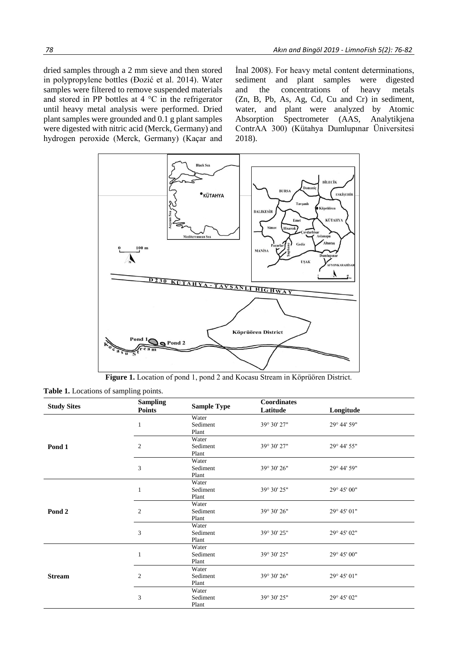dried samples through a 2 mm sieve and then stored in polypropylene bottles (Đozić et al. 2014). Water samples were filtered to remove suspended materials and stored in PP bottles at 4 °C in the refrigerator until heavy metal analysis were performed. Dried plant samples were grounded and 0.1 g plant samples were digested with nitric acid (Merck, Germany) and hydrogen peroxide (Merck, Germany) (Kaçar and

İnal 2008). For heavy metal content determinations, sediment and plant samples were digested and the concentrations of heavy metals (Zn, B, Pb, As, Ag, Cd, Cu and Cr) in sediment, water, and plant were analyzed by Atomic Absorption Spectrometer (AAS, Analytikjena ContrAA 300) (Kütahya Dumlupınar Üniversitesi 2018).



**Figure 1.** Location of pond 1, pond 2 and Kocasu Stream in Köprüören District.

| <b>Study Sites</b> | <b>Sampling</b><br><b>Points</b> | <b>Sample Type</b> | Coordinates |             |  |
|--------------------|----------------------------------|--------------------|-------------|-------------|--|
|                    |                                  |                    | Latitude    | Longitude   |  |
| Pond 1             |                                  | Water              |             |             |  |
|                    |                                  | Sediment           | 39° 30' 27" | 29° 44' 59" |  |
|                    |                                  | Plant              |             |             |  |
|                    | $\overline{c}$                   | Water              |             |             |  |
|                    |                                  | Sediment           | 39° 30' 27" | 29° 44' 55" |  |
|                    |                                  | Plant              |             |             |  |
|                    |                                  | Water              |             |             |  |
|                    | 3                                | Sediment           | 39° 30' 26" | 29° 44' 59" |  |
|                    |                                  | Plant              |             |             |  |
| Pond 2             | 1                                | Water              |             |             |  |
|                    |                                  | Sediment           | 39° 30' 25" | 29° 45' 00" |  |
|                    |                                  | Plant              |             |             |  |
|                    |                                  | Water              |             |             |  |
|                    | $\overline{2}$                   | Sediment           | 39° 30' 26" | 29° 45' 01" |  |
|                    |                                  | Plant              |             |             |  |
|                    |                                  | Water              |             |             |  |
|                    | 3                                | Sediment           | 39° 30' 25" | 29° 45' 02" |  |
|                    |                                  | Plant              |             |             |  |
| <b>Stream</b>      |                                  | Water              |             |             |  |
|                    |                                  | Sediment           | 39° 30' 25" | 29° 45' 00" |  |
|                    |                                  | Plant              |             |             |  |
|                    | $\overline{2}$                   | Water              |             |             |  |
|                    |                                  | Sediment           | 39° 30' 26" | 29° 45' 01" |  |
|                    |                                  | Plant              |             |             |  |
|                    | 3                                | Water              |             |             |  |
|                    |                                  | Sediment           | 39° 30' 25" | 29° 45' 02" |  |
|                    |                                  | Plant              |             |             |  |

**Table 1.** Locations of sampling points.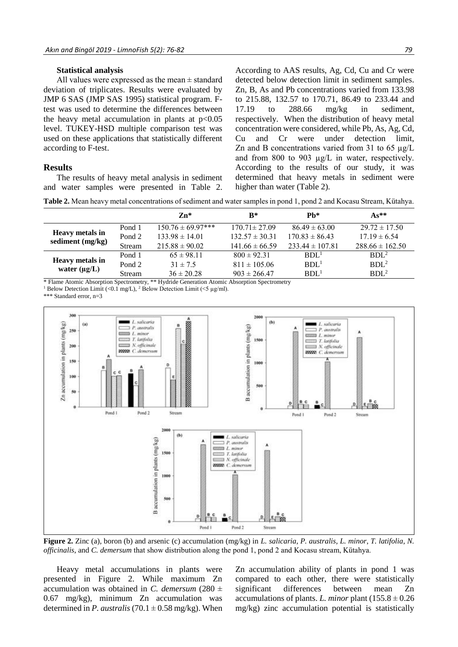## **Statistical analysis**

All values were expressed as the mean ± standard deviation of triplicates. Results were evaluated by JMP 6 SAS (JMP SAS 1995) statistical program. Ftest was used to determine the differences between the heavy metal accumulation in plants at  $p<0.05$ level. TUKEY-HSD multiple comparison test was used on these applications that statistically different according to F-test.

## **Results**

The results of heavy metal analysis in sediment and water samples were presented in Table 2.

According to AAS results, Ag, Cd, Cu and Cr were detected below detection limit in sediment samples. Zn, B, As and Pb concentrations varied from 133.98 to 215.88, 132.57 to 170.71, 86.49 to 233.44 and 17.19 to 288.66 mg/kg in sediment, respectively. When the distribution of heavy metal concentration were considered, while Pb, As, Ag, Cd, Cu and Cr were under detection limit, Zn and B concentrations varied from 31 to 65  $\mu$ g/L and from 800 to 903 µg/L in water, respectively. According to the results of our study, it was determined that heavy metals in sediment were higher than water (Table 2).

**Table 2.** Mean heavy metal concentrations of sediment and water samples in pond 1, pond 2 and Kocasu Stream, Kütahya.

|                                             |        | $Zn*$                 | $R^*$              | $Ph*$               | $As**$              |
|---------------------------------------------|--------|-----------------------|--------------------|---------------------|---------------------|
| <b>Heavy metals in</b><br>sediment (mg/kg)  | Pond 1 | $150.76 \pm 69.97***$ | $170.71 \pm 27.09$ | $86.49 \pm 63.00$   | $29.72 \pm 17.50$   |
|                                             | Pond 2 | $133.98 \pm 14.01$    | $132.57 \pm 30.31$ | $170.83 \pm 86.43$  | $17.19 \pm 6.54$    |
|                                             | Stream | $215.88 \pm 90.02$    | $141.66 \pm 66.59$ | $233.44 \pm 107.81$ | $288.66 \pm 162.50$ |
| <b>Heavy metals in</b><br>water $(\mu g/L)$ | Pond 1 | $65 \pm 98.11$        | $800 \pm 92.31$    | BDL <sup>1</sup>    | BDL <sup>2</sup>    |
|                                             | Pond 2 | $31 \pm 7.5$          | $811 \pm 105.06$   | BDL <sup>1</sup>    | BDL <sup>2</sup>    |
|                                             | Stream | $36 \pm 20.28$        | $903 \pm 266.47$   | BDL <sup>1</sup>    | $BDL^2$             |

\* Flame Atomic Absorption Spectrometry, \*\* Hydride Generation Atomic Absorption Spectrometry

<sup>1</sup> Below Detection Limit (<0.1 mg/L), <sup>2</sup> Below Detection Limit (<5 µg/ml).

\*\*\* Standard error, n=3



**Figure 2.** Zinc (a), boron (b) and arsenic (c) accumulation (mg/kg) in *L. salicaria*, *P. australis*, *L. minor*, *T. latifolia*, *N. officinalis*, and *C. demersum* that show distribution along the pond 1, pond 2 and Kocasu stream, Kütahya.

Heavy metal accumulations in plants were presented in Figure 2. While maximum Zn accumulation was obtained in *C. demersum* (280  $\pm$ 0.67 mg/kg), minimum Zn accumulation was determined in *P. australis* (70.1  $\pm$  0.58 mg/kg). When Zn accumulation ability of plants in pond 1 was compared to each other, there were statistically significant differences between mean Zn accumulations of plants. *L. minor* plant  $(155.8 \pm 0.26$ mg/kg) zinc accumulation potential is statistically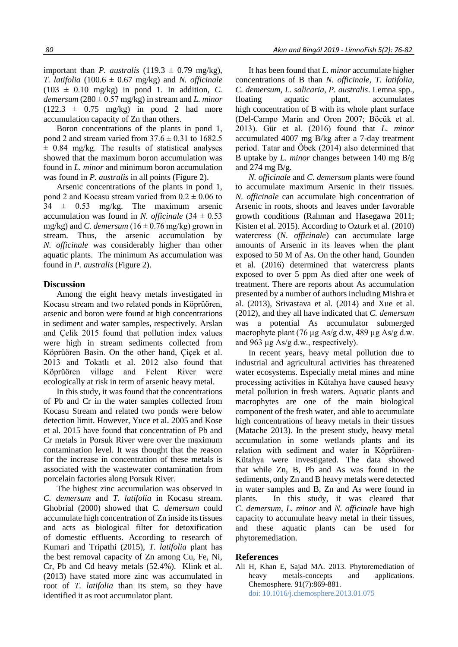Boron concentrations of the plants in pond 1, pond 2 and stream varied from  $37.6 \pm 0.31$  to 1682.5  $\pm$  0.84 mg/kg. The results of statistical analyses showed that the maximum boron accumulation was found in *L. minor* and minimum boron accumulation was found in *P. australis* in all points (Figure 2).

Arsenic concentrations of the plants in pond 1, pond 2 and Kocasu stream varied from  $0.2 \pm 0.06$  to  $34 \pm 0.53$  mg/kg. The maximum arsenic accumulation was found in *N. officinale*  $(34 \pm 0.53)$ mg/kg) and *C. demersum*  $(16 \pm 0.76 \text{ mg/kg})$  grown in stream. Thus, the arsenic accumulation by *N. officinale* was considerably higher than other aquatic plants. The minimum As accumulation was found in *P. australis* (Figure 2).

## **Discussion**

Among the eight heavy metals investigated in Kocasu stream and two related ponds in Köprüören, arsenic and boron were found at high concentrations in sediment and water samples, respectively. Arslan and Çelik 2015 found that pollution index values were high in stream sediments collected from Köprüören Basin. On the other hand, Çiçek et al. 2013 and Tokatlı et al. 2012 also found that Köprüören village and Felent River were ecologically at risk in term of arsenic heavy metal.

In this study, it was found that the concentrations of Pb and Cr in the water samples collected from Kocasu Stream and related two ponds were below detection limit. However, Yuce et al. 2005 and Kose et al. 2015 have found that concentration of Pb and Cr metals in Porsuk River were over the maximum contamination level. It was thought that the reason for the increase in concentration of these metals is associated with the wastewater contamination from porcelain factories along Porsuk River.

The highest zinc accumulation was observed in *C. demersum* and *T. latifolia* in Kocasu stream. Ghobrial (2000) showed that *C. demersum* could accumulate high concentration of Zn inside its tissues and acts as biological filter for detoxification of domestic effluents. According to research of Kumari and Tripathi (2015), *T. latifolia* plant has the best removal capacity of Zn among Cu, Fe, Ni, Cr, Pb and Cd heavy metals (52.4%). Klink et al. (2013) have stated more zinc was accumulated in root of *T. latifolia* than its stem, so they have identified it as root accumulator plant.

It has been found that *L. minor* accumulate higher concentrations of B than *N. officinale*, *T. latifolia*, *C. demersum*, *L. salicaria*, *P. australis*. Lemna spp., floating aquatic plant, accumulates high concentration of B with its whole plant surface (Del-Campo Marin and Oron 2007; Böcük et al. 2013). Gür et al. (2016) found that *L. minor* accumulated 4007 mg B/kg after a 7-day treatment period. Tatar and Öbek (2014) also determined that B uptake by *L. minor* changes between 140 mg B/g and 274 mg  $B/g$ .

*N. officinale* and *C. demersum* plants were found to accumulate maximum Arsenic in their tissues*. N. officinale* can accumulate high concentration of Arsenic in roots, shoots and leaves under favorable growth conditions (Rahman and Hasegawa 2011; Kisten et al. 2015). According to Ozturk et al. (2010) watercress (*N. officinale*) can accumulate large amounts of Arsenic in its leaves when the plant exposed to 50 M of As. On the other hand, Gounden et al. (2016) determined that watercress plants exposed to over 5 ppm As died after one week of treatment. There are reports about As accumulation presented by a number of authors including Mishra et al. (2013), Srivastava et al. (2014) and Xue et al. (2012), and they all have indicated that *C. demersum*  was a potential As accumulator submerged macrophyte plant (76 µg As/g d.w, 489 µg As/g d.w. and 963 μg As/g d.w., respectively).

In recent years, heavy metal pollution due to industrial and agricultural activities has threatened water ecosystems. Especially metal mines and mine processing activities in Kütahya have caused heavy metal pollution in fresh waters. Aquatic plants and macrophytes are one of the main biological component of the fresh water, and able to accumulate high concentrations of heavy metals in their tissues (Matache 2013). In the present study, heavy metal accumulation in some wetlands plants and its relation with sediment and water in Köprüören-Kütahya were investigated. The data showed that while Zn, B, Pb and As was found in the sediments, only Zn and B heavy metals were detected in water samples and B, Zn and As were found in plants. In this study, it was cleared that *C. demersum*, *L. minor* and *N. officinale* have high capacity to accumulate heavy metal in their tissues, and these aquatic plants can be used for phytoremediation.

## **References**

Ali H, Khan E, Sajad MA. 2013. Phytoremediation of heavy metals-concepts and applications. Chemosphere. 91(7):869-881. doi: [10.1016/j.chemosphere.2013.01.075](http://doi.org/10.1016/j.chemosphere.2013.01.075)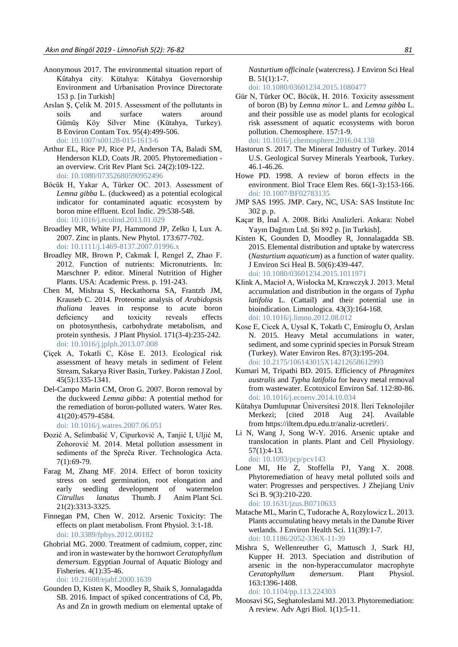- Anonymous 2017. The environmental situation report of Kütahya city. Kütahya: Kütahya Governorship Environment and Urbanisation Province Directorate 153 p. [in Turkish]
- Arslan Ş, Çelik M. 2015. Assessment of the pollutants in soils and surface waters around Gümüş Köy Silver Mine (Kütahya, Turkey). B Environ Contam Tox. 95(4):499-506. doi: [10.1007/s00128-015-1613-6](https://link.springer.com/article/10.1007/s00128-015-1613-6)
- Arthur EL, Rice PJ, Rice PJ, Anderson TA, Baladi SM, Henderson KLD, Coats JR. 2005. Phytoremediation an overview. Crit Rev Plant Sci. 24(2):109-122. doi: [10.1080/07352680590952496](https://www.tandfonline.com/doi/abs/10.1080/07352680590952496)
- Böcük H, Yakar A, Türker OC. 2013. Assessment of *Lemna gibba* L. (duckweed) as a potential ecological indicator for contaminated aquatic ecosystem by boron mine effluent. Ecol Indic. 29:538-548. doi: [10.1016/j.ecolind.2013.01.029](https://www.sciencedirect.com/science/article/pii/S1470160X13000617?via%3Dihub)
- Broadley MR, White PJ, Hammond JP, Zelko I, Lux A. 2007. Zinc in plants. New Phytol. 173:677-702. doi: [10.1111/j.1469-8137.2007.01996.x](https://nph.onlinelibrary.wiley.com/doi/epdf/10.1111/j.1469-8137.2007.01996.x)
- Broadley MR, Brown P, Cakmak İ, Rengel Z, Zhao F. 2012. Function of nutrients: Micronutrients. In: Marschner P. editor. Mineral Nutrition of Higher Plants. USA: Academic Press. p. 191-243.
- Chen M, Mishraa S, Heckathorna SA, Frantzb JM, Krauseb C. 2014. Proteomic analysis of *Arabidopsis thaliana* leaves in response to acute boron deficiency and toxicity reveals effects on photosynthesis, carbohydrate metabolism, and protein synthesis. J Plant Physiol. 171(3-4):235-242. doi: [10.1016/j.jplph.2013.07.008](https://www.sciencedirect.com/science/article/pii/S0176161713002988?via%3Dihub)
- Çiçek A, Tokatli C, Köse E. 2013. Ecological risk assessment of heavy metals in sediment of Felent Stream, Sakarya River Basin, Turkey. Pakistan J Zool. 45(5):1335-1341.
- Del-Campo Marin CM, Oron G. 2007. Boron removal by the duckweed *Lemna gibba*: A potential method for the remediation of boron-polluted waters. Water Res. 41(20):4579-4584.

doi: [10.1016/j.watres.2007.06.051](https://www.sciencedirect.com/science/article/abs/pii/S0043135407004216?via%3Dihub)

- Đozić A, Selimbašić V, Cipurković A, Tanjić I, Uljić M, Zohorović M. 2014. Metal pollution assessment in sediments of the Spreča River. Technologica Acta. 7(1):69-79.
- Farag M, Zhang MF. 2014. Effect of boron toxicity stress on seed germination, root elongation and early seedling development of watermelon *Citrullus lanatus* Thumb. J Anim Plant Sci. 21(2):3313-3325.
- Finnegan PM, Chen W. 2012. Arsenic Toxicity: The effects on plant metabolism. Front Physiol. 3:1-18. doi: [10.3389/fphys.2012.00182](http://www.readcube.com/articles/10.3389/fphys.2012.00182)
- Ghobrial MG. 2000. Treatment of cadmium, copper, zinc and iron in wastewater by the hornwort *Ceratophyllum demersum*. [Egyptian Journal of Aquatic Biology and](http://ejabf.journals.ekb.eg/)  [Fisheries.](http://ejabf.journals.ekb.eg/) 4(1):35-46.

doi: [10.21608/ejabf.2000.1639](https://ejabf.journals.ekb.eg/article_1639_7b1145da6b7f6c333d4934afe61fb971.pdf)

Gounden D, Kisten K, Moodley R, Shaik S, Jonnalagadda SB. 2016. Impact of spiked concentrations of Cd, Pb, As and Zn in growth medium on elemental uptake of *Nasturtium officinale* (watercress). J Environ Sci Heal B. 51(1):1-7.

doi: [10.1080/03601234.2015.1080477](https://www.tandfonline.com/doi/full/10.1080/03601234.2015.1080477?scroll=top&needAccess=true)

- Gür N, Türker OC, Böcük, H. 2016. Toxicity assessment of boron (B) by *Lemna minor* L. and *Lemna gibba* L. and their possible use as model plants for ecological risk assessment of aquatic ecosystems with boron pollution. Chemosphere. 157:1-9. doi: [10.1016/j.chemosphere.2016.04.138](https://www.sciencedirect.com/science/article/pii/S0045653516306403?via%3Dihub)
- Hastorun S. 2017. The Mineral Industry of Turkey. 2014 U.S. Geological Survey Minerals Yearbook, Turkey. 46.1-46.26.
- Howe PD. 1998. A review of boron effects in the environment. Biol Trace Elem Res. 66(1-3):153-166. doi: [10.1007/BF02783135](https://link.springer.com/article/10.1007/BF02783135)
- JMP SAS 1995. JMP. Cary, NC, USA: SAS Institute Inc 302 p. p.
- Kaçar B, İnal A. 2008. Bitki Analizleri. Ankara: Nobel Yayın Dağıtım Ltd. Şti 892 p. [in Turkish].
- Kisten K, Gounden D, Moodley R, Jonnalagadda SB. 2015. Elemental distribution and uptake by watercress (*Nasturtium aquaticum*) as a function of water quality. J Environ Sci Heal B. 50(6):439-447. doi: [10.1080/03601234.2015.1011971](https://www.tandfonline.com/doi/abs/10.1080/03601234.2015.1011971)
- Klink A, Macioł A, Wisłocka M, Krawczyk J. 2013. Metal accumulation and distribution in the organs of *Typha latifolia* L. (Cattail) and their potential use in bioindication. Limnologica. 43(3):164-168. doi: [10.1016/j.limno.2012.08.012](https://www.sciencedirect.com/science/article/pii/S0075951112000680)
- Kose E, Cicek A, Uysal K, Tokatlı C, Emiroglu O, Arslan N. 2015. Heavy Metal accumulations in water, sediment, and some cyprinid species in Porsuk Stream (Turkey). Water Environ Res. 87(3):195-204. doi: [10.2175/106143015X14212658612993](https://onlinelibrary.wiley.com/doi/pdf/10.2175/106143015X14212658612993)
- Kumari M, Tripathi BD. 2015. Efficiency of *Phragmites australis* and *Typha latifolia* for heavy metal removal from wastewater. Ecotoxicol Environ Saf. 112:80-86. doi: [10.1016/j.ecoenv.2014.10.034](https://www.sciencedirect.com/science/article/pii/S0147651314005004?via%3Dihub)
- Kütahya Dumlupınar Üniversitesi 2018. İleri Teknolojiler Merkezi; [cited 2018 Aug 24]. Available from https://iltem.dpu.edu.tr/analiz-ucretleri/.
- Li N, Wang J, Song W-Y. 2016. Arsenic uptake and translocation in plants. Plant and Cell Physiology. 57(1):4-13. doi: [10.1093/pcp/pcv143](https://watermark.silverchair.com/pcv143.pdf?token=AQECAHi208BE49Ooan9kkhW_Ercy7Dm3ZL_9Cf3qfKAc485ysgAAAjowggI2BgkqhkiG9w0BBwagggInMIICIwIBADCCAhwGCSqGSIb3DQEHATAeBglghkgBZQMEAS4wEQQMK6_QcKvlf60dBBS_AgEQgIIB7ZWq_GmEC-yRCnZumRISM04woo3_Rw9p123wnzVu-socH6NmXU1ZxNAdPtrrllxrkEg7v9b24Sv2aRb95tNh8EOn2c8kND0ibtd8oexmvu_GXWy2c7lRE0aplw5wH5N3EWiA11nQygYAEtzbJXQxVGv4w0UiBbyvWvnixVdVdrLLRdRd5-S60F55aFSqOXC6UmpkRkTY4YDiOCEPs5E6IjeMNhqF-xbq4tKIcEInH5nRmj-s8H49fe_YplYun499fdkXPFt3xtrdFjLriPHWHs6TL3xa-fSzGOi49ZMHWbYBLrjJFDD0CLl4fxcJVGPMUT40BQNSSxS1NiunxbBKf-fTk4u5PlgESBI0AnAtlwwcZniylvcnxKGBv9fdiGhBZVGkKaw055d_oS1YsY6dj6IiJEfTWPW00ywoTigHt1PIVPCV1AD8Xlw_ZlEhqNkoZkiDquMLIv9Khgkj_0lJQhfPPRCl8EniTUX7VLm1ODoWl3M-uMcdb_4_vC8PbMMiqY_UHewEUDkQSk0RQ9Yrycko2sdEqd5iNHWvrtUBdQOWtL7Uh4YzUZtAewCxP27an3Ag_YduRbv6t3YplF8xr8dlAPpBkYyxnnNEnskfGdSpRVB0Dd0UFXNXK_esM3cAkPyQ1FiUrmMesaF20N0)
- Lone MI, He Z, Stoffella PJ, Yang X. 2008. Phytoremediation of heavy metal polluted soils and water: Progresses and perspectives. J Zhejiang Univ Sci B. 9(3):210-220. doi: [10.1631/jzus.B0710633](https://www.ncbi.nlm.nih.gov/pmc/articles/PMC2266886/)
- Matache ML, Marin C, Tudorache A, Rozylowicz L. 2013. Plants accumulating heavy metals in the Danube River wetlands. J Environ Health Sci. 11(39):1-7. doi: [10.1186/2052-336X-11-39](https://jehse.biomedcentral.com/track/pdf/10.1186/2052-336X-11-39)
- Mishra S, Wellenreuther G, Mattusch J, Stark HJ, Kupper H. 2013. Speciation and distribution of arsenic in the non-hyperaccumulator macrophyte *Ceratophyllum demersum*. Plant Physiol. 163:1396-1408.

doi: [10.1104/pp.113.224303](http://www.plantphysiol.org/content/plantphysiol/163/3/1396.full.pdf)

Moosavi SG, Seghatoleslami MJ. 2013. Phytoremediation: A review. Adv Agri Biol. 1(1):5-11.